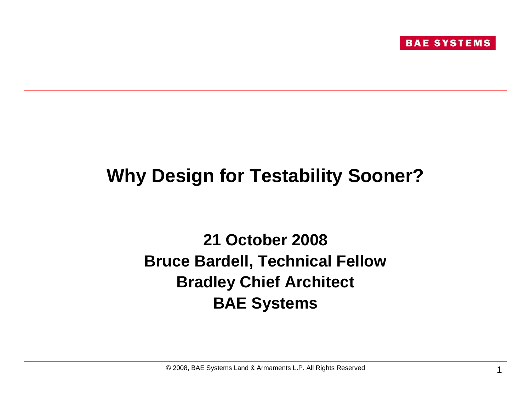

# **Why Design for Testability Sooner?**

#### **21 October 2008Bruce Bardell, Technical Fellow Bradley Chief Architect BAE Systems**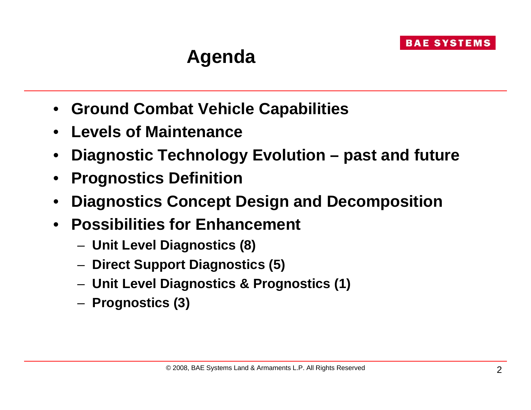# **Agenda**

- **Ground Combat Vehicle Capabilities**
- **Levels of Maintenance**
- •**Diagnostic Technology Evolution – past and future**
- •**Prognostics Definition**
- •**Diagnostics Concept Design and Decomposition**
- • **Possibilities for Enhancement**
	- **Unit Level Diagnostics (8)**
	- **Direct Support Diagnostics (5)**
	- **Unit Level Diagnostics & Prognostics (1)**
	- **Prognostics (3)**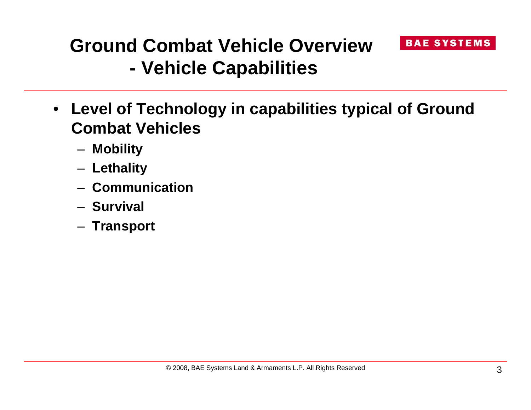#### **Ground Combat Vehicle Overview- Vehicle Capabilities**

- **Level of Technology in capabilities typical of Ground Combat Vehicles**
	- **Mobility**
	- **Lethality**
	- **Communication**
	- **Survival**
	- **Transport**

**BAE SYSTEMS**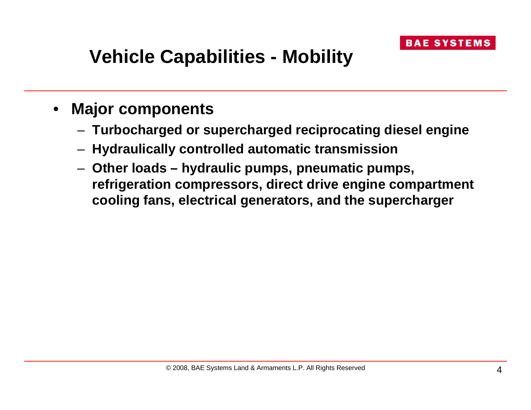# **Vehicle Capabilities - Mobility**

- • **Major components**
	- **Turbocharged or supercharged reciprocating diesel engine**
	- **Hydraulically controlled automatic transmission**
	- **Other loads – hydraulic pumps, pneumatic pumps, refrigeration compressors, direct drive engine compartment cooling fans, electrical generators, and the supercharger**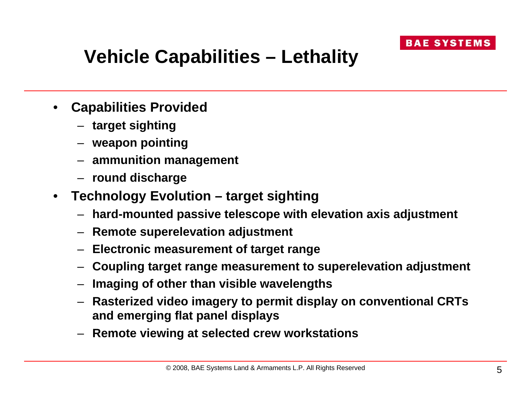

# **Vehicle Capabilities – Lethality**

- • **Capabilities Provided**
	- **target sighting**
	- **weapon pointing**
	- **ammunition management**
	- **round discharge**
- $\bullet$  **Technology Evolution – target sighting**
	- **hard-mounted passive telescope with elevation axis adjustment**
	- **Remote superelevation adjustment**
	- **Electronic measurement of target range**
	- **Coupling target range measurement to superelevation adjustment**
	- **Imaging of other than visible wavelengths**
	- **Rasterized video imagery to permit display on conventional CRTs and emerging flat panel displays**
	- **Remote viewing at selected crew workstations**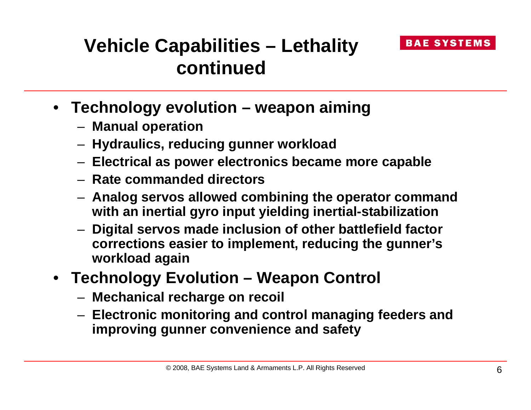

#### **Vehicle Capabilities – Lethality continued**

- **Technology evolution – weapon aiming**
	- **Manual operation**
	- **Hydraulics, reducing gunner workload**
	- **Electrical as power electronics became more capable**
	- **Rate commanded directors**
	- **Analog servos allowed combining the operator command with an inertial gyro input yielding inertial-stabilization**
	- **Digital servos made inclusion of other battlefield factor corrections easier to implement, reducing the gunner's workload again**
- **Technology Evolution – Weapon Control**
	- **Mechanical recharge on recoil**
	- **Electronic monitoring and control managing feeders and improving gunner convenience and safety**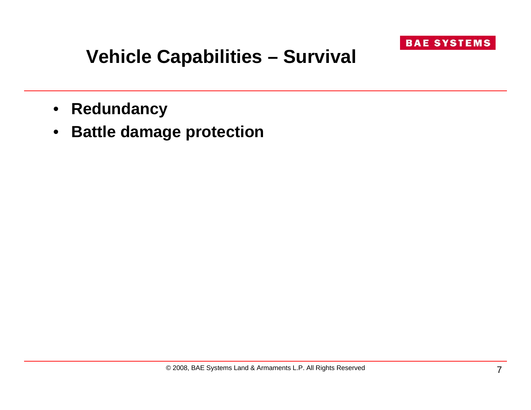

#### **Vehicle Capabilities – Survival**

- $\bullet$ **Redundancy**
- $\bullet$ **Battle damage protection**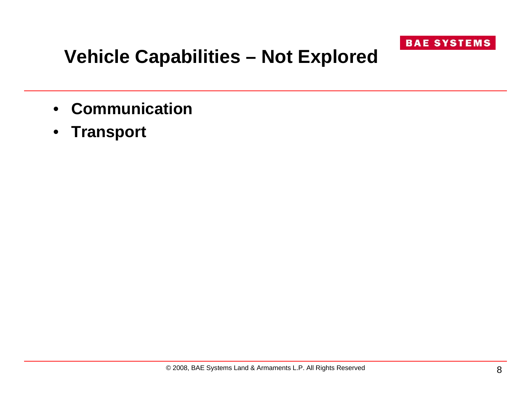

# **Vehicle Capabilities – Not Explored**

- **Communication**
- **Transport**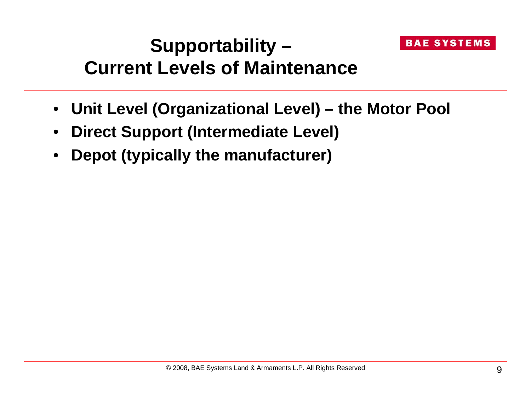#### **Supportability – Current Levels of Maintenance**

- **Unit Level (Organizational Level) – the Motor Pool**
- •**Direct Support (Intermediate Level)**
- •**Depot (typically the manufacturer)**

**BAE SYSTEMS**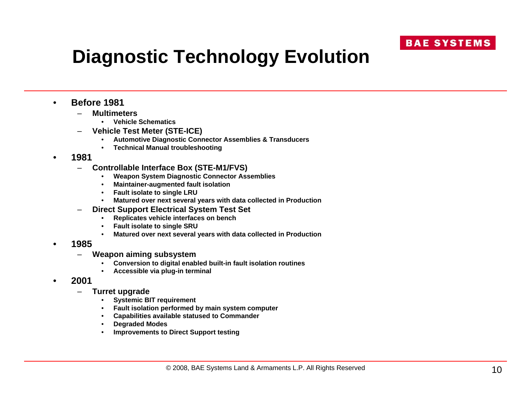# **Diagnostic Technology Evolution**

- • **Before 1981**
	- – **Multimeters**
		- •**Vehicle Schematics**
	- – **Vehicle Test Meter (STE-ICE)**
		- •**Automotive Diagnostic Connector Assemblies & Transducers**
		- •**Technical Manual troubleshooting**
- • **1981**
	- – **Controllable Interface Box (STE-M1/FVS)**
		- •**Weapon System Diagnostic Connector Assemblies**
		- •**Maintainer-augmented fault isolation**
		- **Fault isolate to single LRU**
		- •**Matured over next several years with data collected in Production**
	- – **Direct Support Electrical System Test Set**
		- •**Replicates vehicle interfaces on bench**
		- **Fault isolate to single SRU**
		- •**Matured over next several years with data collected in Production**
- • **1985**
	- **Weapon aiming subsystem**
		- •**Conversion to digital enabled built-in fault isolation routines**
		- •**Accessible via plug-in terminal**
- • **2001**
	- – **Turret upgrade**
		- •**Systemic BIT requirement**
		- **Fault isolation performed by main system computer**
		- •**Capabilities available statused to Commander**
		- •**Degraded Modes**
		- •**Improvements to Direct Support testing**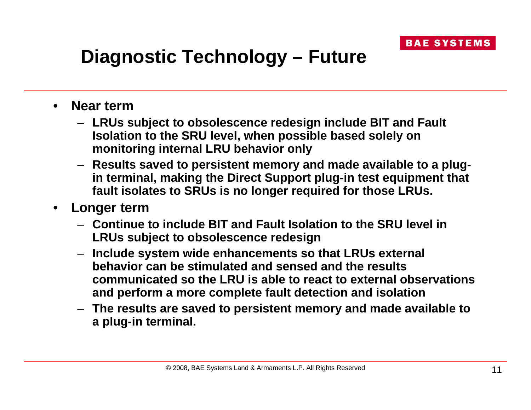# **Diagnostic Technology – Future**

- • **Near term**
	- **LRUs subject to obsolescence redesign include BIT and Fault Isolation to the SRU level, when possible based solely on monitoring internal LRU behavior only**
	- **Results saved to persistent memory and made available to a plugin terminal, making the Direct Support plug-in test equipment that fault isolates to SRUs is no longer required for those LRUs.**
- • **Longer term**
	- **Continue to include BIT and Fault Isolation to the SRU level in LRUs subject to obsolescence redesign**
	- **Include system wide enhancements so that LRUs external behavior can be stimulated and sensed and the results communicated so the LRU is able to react to external observations and perform a more complete fault detection and isolation**
	- **The results are saved to persistent memory and made available to a plug-in terminal.**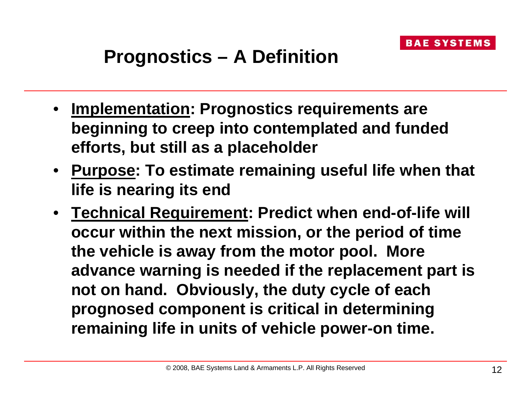# **Prognostics – A Definition**

- **Implementation: Prognostics requirements are beginning to creep into contemplated and funded efforts, but still as a placeholder**
- **Purpose: To estimate remaining useful life when that life is nearing its end**
- **Technical Requirement: Predict when end-of-life will occur within the next mission, or the period of time the vehicle is away from the motor pool. More advance warning is needed if the replacement part is not on hand. Obviously, the duty cycle of each prognosed component is critical in determining remaining life in units of vehicle power-on time.**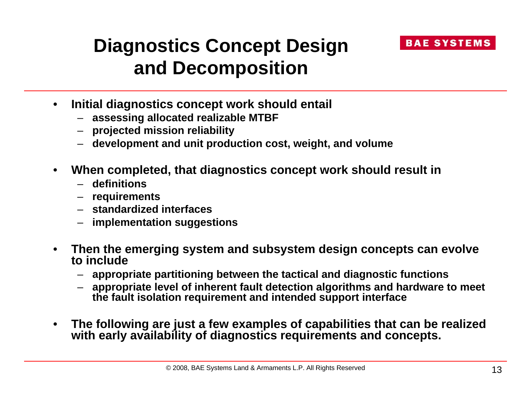

#### **Diagnostics Concept Design and Decomposition**

- • **Initial diagnostics concept work should entail**
	- **assessing allocated realizable MTBF**
	- **projected mission reliability**
	- **development and unit production cost, weight, and volume**
- • **When completed, that diagnostics concept work should result in**
	- **definitions**
	- **requirements**
	- **standardized interfaces**
	- **implementation suggestions**
- • **Then the emerging system and subsystem design concepts can evolve to include**
	- **appropriate partitioning between the tactical and diagnostic functions**
	- **appropriate level of inherent fault detection algorithms and hardware to meet the fault isolation requirement and intended support interface**
- • **The following are just a few examples of capabilities that can be realized with early availability of diagnostics requirements and concepts.**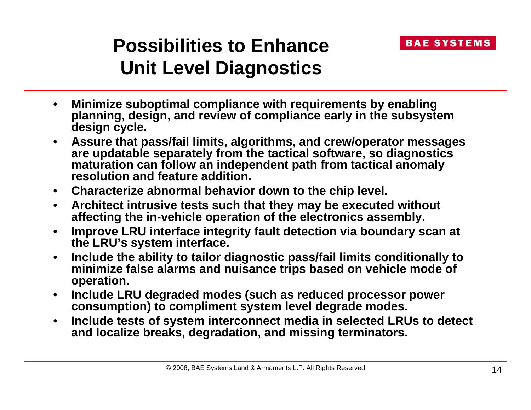# **Possibilities to EnhanceUnit Level Diagnostics**

- • **Minimize suboptimal compliance with requirements by enabling planning, design, and review of compliance early in the subsystem design cycle.**
- • **Assure that pass/fail limits, algorithms, and crew/operator messages are updatable separately from the tactical software, so diagnostics maturation can follow an independent path from tactical anomaly resolution and feature addition.**
- **Characterize abnormal behavior down to the chip level.**
- $\bullet$  **Architect intrusive tests such that they may be executed without affecting the in-vehicle operation of the electronics assembly.**
- • **Improve LRU interface integrity fault detection via boundary scan at the LRU's system interface.**
- • **Include the ability to tailor diagnostic pass/fail limits conditionally to minimize false alarms and nuisance trips based on vehicle mode of operation.**
- $\bullet$  **Include LRU degraded modes (such as reduced processor power consumption) to compliment system level degrade modes.**
- $\bullet$  **Include tests of system interconnect media in selected LRUs to detect and localize breaks, degradation, and missing terminators.**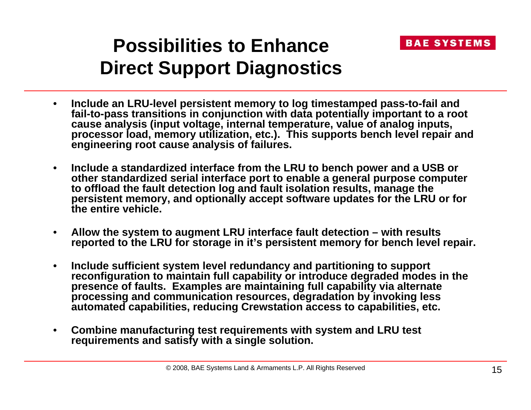

#### **Possibilities to EnhanceDirect Support Diagnostics**

- • **Include an LRU-level persistent memory to log timestamped pass-to-fail and fail-to-pass transitions in conjunction with data potentially important to a root cause analysis (input voltage, internal temperature, value of analog inputs, processor load, memory utilization, etc.). This supports bench level repair and engineering root cause analysis of failures.**
- • **Include a standardized interface from the LRU to bench power and a USB or other standardized serial interface port to enable a general purpose computer to offload the fault detection log and fault isolation results, manage the persistent memory, and optionally accept software updates for the LRU or for the entire vehicle.**
- $\bullet$  **Allow the system to augment LRU interface fault detection – with results reported to the LRU for storage in it's persistent memory for bench level repair.**
- • **Include sufficient system level redundancy and partitioning to support reconfiguration to maintain full capability or introduce degraded modes in the presence of faults. Examples are maintaining full capability via alternate processing and communication resources, degradation by invoking less automated capabilities, reducing Crewstation access to capabilities, etc.**
- $\bullet$  **Combine manufacturing test requirements with system and LRU test requirements and satisfy with a single solution.**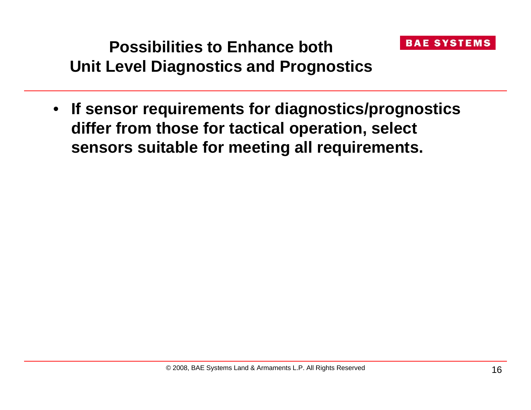

#### **Possibilities to Enhance bothUnit Level Diagnostics and Prognostics**

• **If sensor requirements for diagnostics/prognostics differ from those for tactical operation, select sensors suitable for meeting all requirements.**